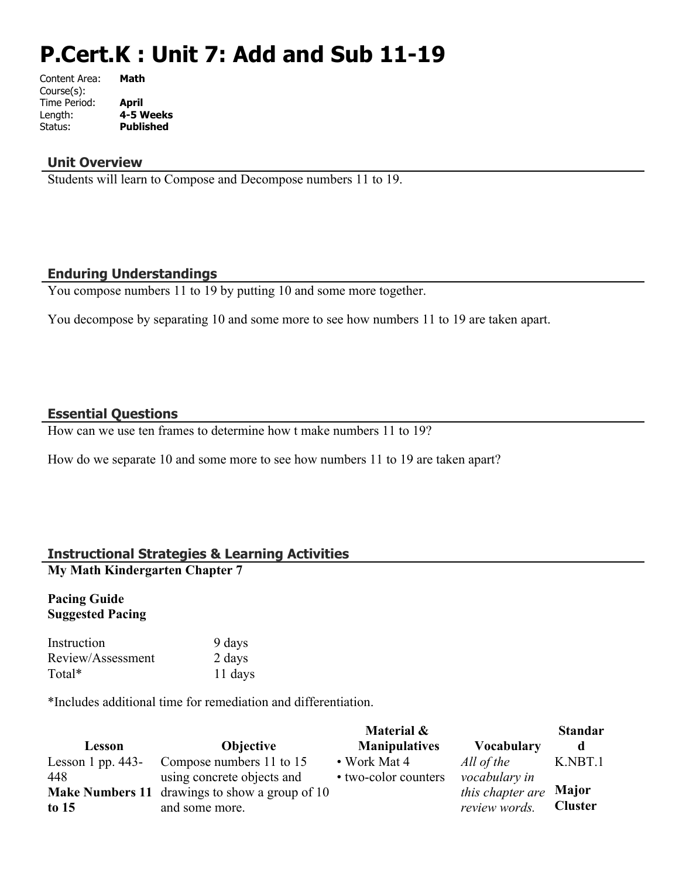# **P.Cert.K : Unit 7: Add and Sub 11-19**

| Content Area: | Math             |
|---------------|------------------|
| Course(s):    |                  |
| Time Period:  | April            |
| Length:       | 4-5 Weeks        |
| Status:       | <b>Published</b> |
|               |                  |

#### **Unit Overview**

Students will learn to Compose and Decompose numbers 11 to 19.

### **Enduring Understandings**

You compose numbers 11 to 19 by putting 10 and some more together.

You decompose by separating 10 and some more to see how numbers 11 to 19 are taken apart.

### **Essential Questions**

How can we use ten frames to determine how t make numbers 11 to 19?

How do we separate 10 and some more to see how numbers 11 to 19 are taken apart?

### **Instructional Strategies & Learning Activities**

**My Math Kindergarten Chapter 7**

#### **Pacing Guide Suggested Pacing**

| Instruction       | 9 days  |
|-------------------|---------|
| Review/Assessment | 2 days  |
| Total*            | 11 days |

\*Includes additional time for remediation and differentiation.

|                     |                                                       | Material &           |                   | <b>Standar</b> |
|---------------------|-------------------------------------------------------|----------------------|-------------------|----------------|
| Lesson              | <b>Objective</b>                                      | <b>Manipulatives</b> | <b>Vocabulary</b> | d              |
| Lesson 1 pp. $443-$ | Compose numbers 11 to 15                              | $\bullet$ Work Mat 4 | All of the        | K.NBT.1        |
| 448                 | using concrete objects and                            | • two-color counters | vocabulary in     |                |
|                     | <b>Make Numbers 11</b> drawings to show a group of 10 |                      | this chapter are  | Major          |
| to $15$             | and some more.                                        |                      | review words.     | <b>Cluster</b> |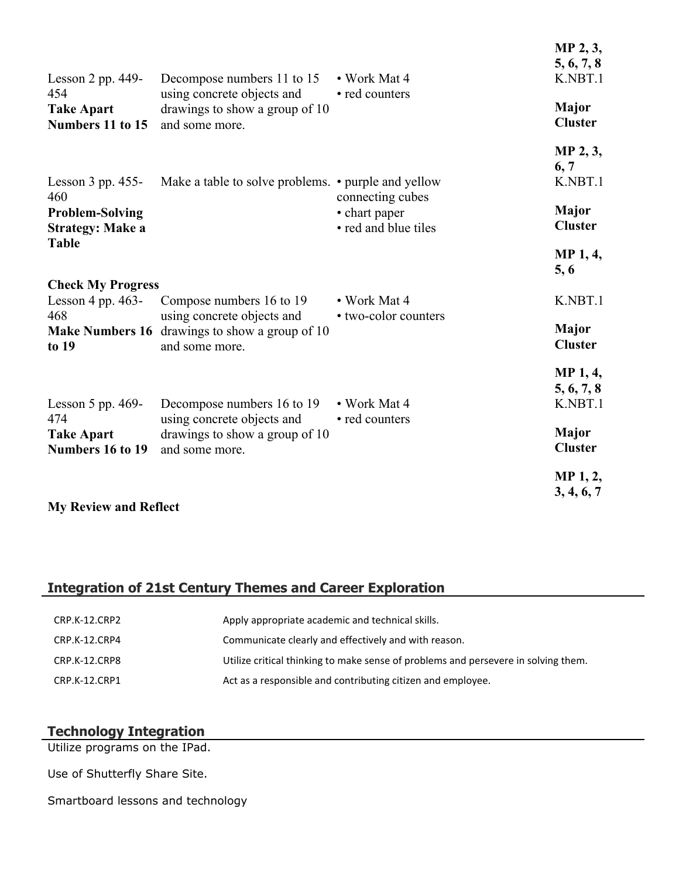| Lesson $2$ pp. 449-                                      | Decompose numbers 11 to 15                                                                     | • Work Mat 4                                              | $1$ vii $2, 3$<br>5, 6, 7, 8<br>K.NBT.1  |
|----------------------------------------------------------|------------------------------------------------------------------------------------------------|-----------------------------------------------------------|------------------------------------------|
| 454<br><b>Take Apart</b><br>Numbers 11 to 15             | using concrete objects and<br>drawings to show a group of 10<br>and some more.                 | • red counters                                            | Major<br><b>Cluster</b>                  |
| Lesson $3$ pp. $455$ -                                   | Make a table to solve problems. • purple and yellow                                            |                                                           | MP 2, 3,<br>6, 7<br>K.NBT.1              |
| 460<br><b>Problem-Solving</b><br><b>Strategy: Make a</b> |                                                                                                | connecting cubes<br>• chart paper<br>• red and blue tiles | Major<br><b>Cluster</b>                  |
| <b>Table</b>                                             |                                                                                                |                                                           | <b>MP</b> 1, 4,<br>5, 6                  |
| <b>Check My Progress</b><br>Lesson 4 pp. $463-$          | Compose numbers 16 to 19                                                                       | • Work Mat 4                                              | K.NBT.1                                  |
| 468<br>to 19                                             | using concrete objects and<br>Make Numbers 16 drawings to show a group of 10<br>and some more. | • two-color counters                                      | <b>Major</b><br><b>Cluster</b>           |
| Lesson $5$ pp. 469-                                      | Decompose numbers 16 to 19                                                                     | • Work Mat 4                                              | <b>MP</b> 1, 4,<br>5, 6, 7, 8<br>K.NBT.1 |
| 474<br><b>Take Apart</b><br>Numbers 16 to 19             | using concrete objects and<br>drawings to show a group of 10<br>and some more.                 | • red counters                                            | Major<br><b>Cluster</b>                  |
| <b>My Review and Reflect</b>                             |                                                                                                |                                                           | MP <sub>1</sub> , 2,<br>3, 4, 6, 7       |

**MD 2.3** 

# **Integration of 21st Century Themes and Career Exploration**

| CRP.K-12.CRP2 | Apply appropriate academic and technical skills.                                   |
|---------------|------------------------------------------------------------------------------------|
| CRP.K-12.CRP4 | Communicate clearly and effectively and with reason.                               |
| CRP.K-12.CRP8 | Utilize critical thinking to make sense of problems and persevere in solving them. |
| CRP.K-12.CRP1 | Act as a responsible and contributing citizen and employee.                        |

## **Technology Integration**

Utilize programs on the IPad.

Use of Shutterfly Share Site.

Smartboard lessons and technology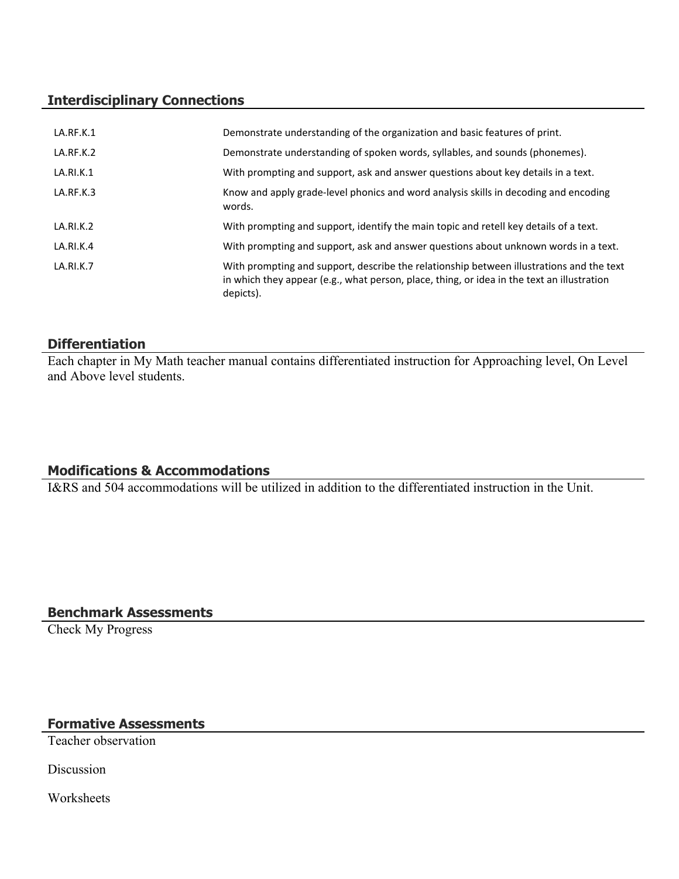## **Interdisciplinary Connections**

| LA.RF.K.1        | Demonstrate understanding of the organization and basic features of print.                                                                                                                          |
|------------------|-----------------------------------------------------------------------------------------------------------------------------------------------------------------------------------------------------|
| LA.RF.K.2        | Demonstrate understanding of spoken words, syllables, and sounds (phonemes).                                                                                                                        |
| LA.RI.K.1        | With prompting and support, ask and answer questions about key details in a text.                                                                                                                   |
| LA.RF.K.3        | Know and apply grade-level phonics and word analysis skills in decoding and encoding<br>words.                                                                                                      |
| LA.RI.K.2        | With prompting and support, identify the main topic and retell key details of a text.                                                                                                               |
| LA.RI.K.4        | With prompting and support, ask and answer questions about unknown words in a text.                                                                                                                 |
| <b>LA.RI.K.7</b> | With prompting and support, describe the relationship between illustrations and the text<br>in which they appear (e.g., what person, place, thing, or idea in the text an illustration<br>depicts). |

## **Differentiation**

Each chapter in My Math teacher manual contains differentiated instruction for Approaching level, On Level and Above level students.

# **Modifications & Accommodations**

I&RS and 504 accommodations will be utilized in addition to the differentiated instruction in the Unit.

**Benchmark Assessments**

Check My Progress

# **Formative Assessments**

Teacher observation

Discussion

Worksheets